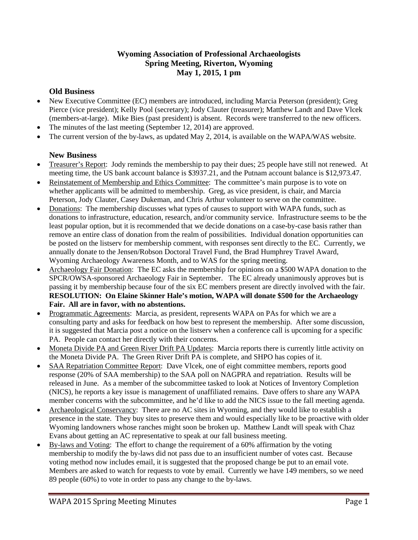# **Wyoming Association of Professional Archaeologists Spring Meeting, Riverton, Wyoming May 1, 2015, 1 pm**

# **Old Business**

- New Executive Committee (EC) members are introduced, including Marcia Peterson (president); Greg Pierce (vice president); Kelly Pool (secretary); Jody Clauter (treasurer); Matthew Landt and Dave Vlcek (members-at-large). Mike Bies (past president) is absent. Records were transferred to the new officers.
- The minutes of the last meeting (September 12, 2014) are approved.
- The current version of the by-laws, as updated May 2, 2014, is available on the WAPA/WAS website.

## **New Business**

- Treasurer's Report: Jody reminds the membership to pay their dues; 25 people have still not renewed. At meeting time, the US bank account balance is \$3937.21, and the Putnam account balance is \$12,973.47.
- Reinstatement of Membership and Ethics Committee: The committee's main purpose is to vote on whether applicants will be admitted to membership. Greg, as vice president, is chair, and Marcia Peterson, Jody Clauter, Casey Dukeman, and Chris Arthur volunteer to serve on the committee.
- Donations: The membership discusses what types of causes to support with WAPA funds, such as donations to infrastructure, education, research, and/or community service. Infrastructure seems to be the least popular option, but it is recommended that we decide donations on a case-by-case basis rather than remove an entire class of donation from the realm of possibilities. Individual donation opportunities can be posted on the listserv for membership comment, with responses sent directly to the EC. Currently, we annually donate to the Jensen/Robson Doctoral Travel Fund, the Brad Humphrey Travel Award, Wyoming Archaeology Awareness Month, and to WAS for the spring meeting.
- Archaeology Fair Donation: The EC asks the membership for opinions on a \$500 WAPA donation to the SPCR/OWSA-sponsored Archaeology Fair in September. The EC already unanimously approves but is passing it by membership because four of the six EC members present are directly involved with the fair. **RESOLUTION: On Elaine Skinner Hale's motion, WAPA will donate \$500 for the Archaeology Fair. All are in favor, with no abstentions.**
- Programmatic Agreements: Marcia, as president, represents WAPA on PAs for which we are a consulting party and asks for feedback on how best to represent the membership. After some discussion, it is suggested that Marcia post a notice on the listserv when a conference call is upcoming for a specific PA. People can contact her directly with their concerns.
- Moneta Divide PA and Green River Drift PA Updates: Marcia reports there is currently little activity on the Moneta Divide PA. The Green River Drift PA is complete, and SHPO has copies of it.
- SAA Repatriation Committee Report: Dave Vlcek, one of eight committee members, reports good response (20% of SAA membership) to the SAA poll on NAGPRA and repatriation. Results will be released in June. As a member of the subcommittee tasked to look at Notices of Inventory Completion (NICS), he reports a key issue is management of unaffiliated remains. Dave offers to share any WAPA member concerns with the subcommittee, and he'd like to add the NICS issue to the fall meeting agenda.
- Archaeological Conservancy: There are no AC sites in Wyoming, and they would like to establish a presence in the state. They buy sites to preserve them and would especially like to be proactive with older Wyoming landowners whose ranches might soon be broken up. Matthew Landt will speak with Chaz Evans about getting an AC representative to speak at our fall business meeting.
- By-laws and Voting: The effort to change the requirement of a 60% affirmation by the voting membership to modify the by-laws did not pass due to an insufficient number of votes cast. Because voting method now includes email, it is suggested that the proposed change be put to an email vote. Members are asked to watch for requests to vote by email. Currently we have 149 members, so we need 89 people (60%) to vote in order to pass any change to the by-laws.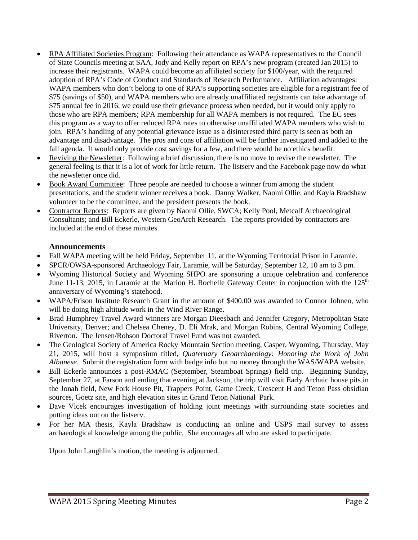- RPA Affiliated Societies Program: Following their attendance as WAPA representatives to the Council of State Councils meeting at SAA, Jody and Kelly report on RPA's new program (created Jan 2015) to increase their registrants. WAPA could become an affiliated society for \$100/year, with the required adoption of RPA's Code of Conduct and Standards of Research Performance. Affiliation advantages: WAPA members who don't belong to one of RPA's supporting societies are eligible for a registrant fee of \$75 (savings of \$50), and WAPA members who are already unaffiliated registrants can take advantage of \$75 annual fee in 2016; we could use their grievance process when needed, but it would only apply to those who are RPA members; RPA membership for all WAPA members is not required. The EC sees this program as a way to offer reduced RPA rates to otherwise unaffiliated WAPA members who wish to join. RPA's handling of any potential grievance issue as a disinterested third party is seen as both an advantage and disadvantage. The pros and cons of affiliation will be further investigated and added to the fall agenda. It would only provide cost savings for a few, and there would be no ethics benefit.
- Reviving the Newsletter: Following a brief discussion, there is no move to revive the newsletter. The general feeling is that it is a lot of work for little return. The listserv and the Facebook page now do what the newsletter once did.
- Book Award Committee: Three people are needed to choose a winner from among the student presentations, and the student winner receives a book. Danny Walker, Naomi Ollie, and Kayla Bradshaw volunteer to be the committee, and the president presents the book.
- Contractor Reports: Reports are given by Naomi Ollie, SWCA; Kelly Pool, Metcalf Archaeological Consultants; and Bill Eckerle, Western GeoArch Research. The reports provided by contractors are included at the end of these minutes.

### **Announcements**

- Fall WAPA meeting will be held Friday, September 11, at the Wyoming Territorial Prison in Laramie.
- SPCR/OWSA-sponsored Archaeology Fair, Laramie, will be Saturday, September 12, 10 am to 3 pm.
- Wyoming Historical Society and Wyoming SHPO are sponsoring a unique celebration and conference June 11-13, 2015, in Laramie at the Marion H. Rochelle Gateway Center in conjunction with the  $125<sup>th</sup>$ anniversary of Wyoming's statehood.
- WAPA/Frison Institute Research Grant in the amount of \$400.00 was awarded to Connor Johnen, who will be doing high altitude work in the Wind River Range.
- Brad Humphrey Travel Award winners are Morgan Dieesbach and Jennifer Gregory, Metropolitan State University, Denver; and Chelsea Cheney, D. Eli Mrak, and Morgan Robins, Central Wyoming College, Riverton. The Jensen/Robson Doctoral Travel Fund was not awarded.
- The Geological Society of America Rocky Mountain Section meeting, Casper, Wyoming, Thursday, May 21, 2015, will host a symposium titled, *Quaternary Geoarchaeology: Honoring the Work of John Albanese*. Submit the registration form with badge info but no money through the WAS/WAPA website.
- Bill Eckerle announces a post-RMAC (September, Steamboat Springs) field trip. Beginning Sunday, September 27, at Farson and ending that evening at Jackson, the trip will visit Early Archaic house pits in the Jonah field, New Fork House Pit, Trappers Point, Game Creek, Crescent H and Teton Pass obsidian sources, Goetz site, and high elevation sites in Grand Teton National Park.
- Dave Vlcek encourages investigation of holding joint meetings with surrounding state societies and putting ideas out on the listserv.
- For her MA thesis, Kayla Bradshaw is conducting an online and USPS mail survey to assess archaeological knowledge among the public. She encourages all who are asked to participate.

Upon John Laughlin's motion, the meeting is adjourned.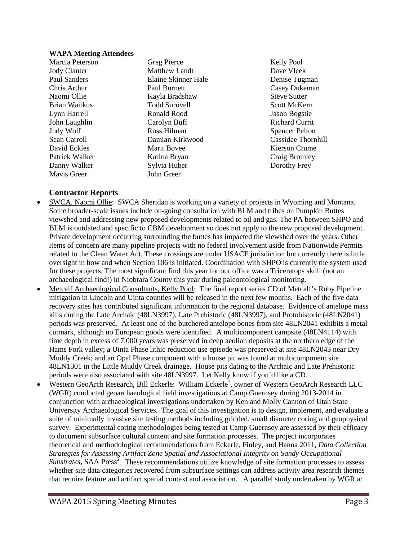#### **WAPA Meeting Attendees**

Brian Waitkus Danny Walker Mavis Greer John Greer

Marcia Peterson Greg Pierce Kelly Pool Jody Clauter Matthew Landt Dave Vlcek Paul Sanders Elaine Skinner Hale Denise Tugman Chris Arthur Paul Burnett Casey Dukeman<br>
Naomi Ollie Kayla Bradshaw Steve Sutter Naomi Ollie Kayla Bradshaw Steve Sutter Lynn Harrell Ronald Rood Jason Bogstie John Laughlin Carolyn Buff Richard Currit Judy Wolf **Ross Hilman** Ross Richard **Ross Richard Ross Richard Spencer Pelton** Sean Carroll Damian Kirkwood Cassidee Thornhill David Eckles Marit Bovee Kierson Crume Patrick Walker Karina Bryan Craig Bromley<br>
Danny Walker Sylvia Huber Dorothy Frey

## **Contractor Reports**

- SWCA, Naomi Ollie: SWCA Sheridan is working on a variety of projects in Wyoming and Montana. Some broader-scale issues include on-going consultation with BLM and tribes on Pumpkin Buttes viewshed and addressing new proposed developments related to oil and gas. The PA between SHPO and BLM is outdated and specific to CBM development so does not apply to the new proposed development. Private development occurring surrounding the buttes has impacted the viewshed over the years. Other items of concern are many pipeline projects with no federal involvement aside from Nationwide Permits related to the Clean Water Act. These crossings are under USACE jurisdiction but currently there is little oversight in how and when Section 106 is initiated. Coordination with SHPO is currently the system used for these projects. The most significant find this year for our office was a Triceratops skull (not an archaeological find!) in Niobrara County this year during paleontological monitoring.
- Metcalf Archaeological Consultants, Kelly Pool: The final report series CD of Metcalf's Ruby Pipeline mitigation in Lincoln and Uinta counties will be released in the next few months. Each of the five data recovery sites has contributed significant information to the regional database. Evidence of antelope mass kills during the Late Archaic (48LN3997), Late Prehistoric (48LN3997), and Protohistoric (48LN2041) periods was preserved. At least one of the butchered antelope bones from site 48LN2041 exhibits a metal cutmark, although no European goods were identified. A multicomponent campsite (48LN4114) with time depth in excess of 7,000 years was preserved in deep aeolian deposits at the northern edge of the Hams Fork valley; a Uinta Phase lithic reduction use episode was preserved at site 48LN2043 near Dry Muddy Creek; and an Opal Phase component with a house pit was found at multicomponent site 48LN1301 in the Little Muddy Creek drainage. House pits dating to the Archaic and Late Prehistoric periods were also associated with site 48LN3997. Let Kelly know if you'd like a CD.
- Western GeoArch Research, Bill Eckerle: William Eckerle<sup>1</sup>, owner of Western GeoArch Research LLC (WGR) conducted geoarchaeological field investigations at Camp Guernsey during 2013-2014 in conjunction with archaeological investigations undertaken by Ken and Molly Cannon of Utah State University Archaeological Services. The goal of this investigation is to design, implement, and evaluate a suite of minimally invasive site testing methods including gridded, small diameter coring and geophysical survey. Experimental coring methodologies being tested at Camp Guernsey are assessed by their efficacy to document subsurface cultural content and site formation processes. The project incorporates theoretical and methodological recommendations from Eckerle, Finley, and Hanna 2011, *Data Collection Strategies for Assessing Artifact Zone Spatial and Associational Integrity on Sandy Occupational Substrates, SAA Press<sup>2</sup>*. These recommendations utilize knowledge of site formation processes to assess whether site data categories recovered from subsurface settings can address activity area research themes that require feature and artifact spatial context and association. A parallel study undertaken by WGR at